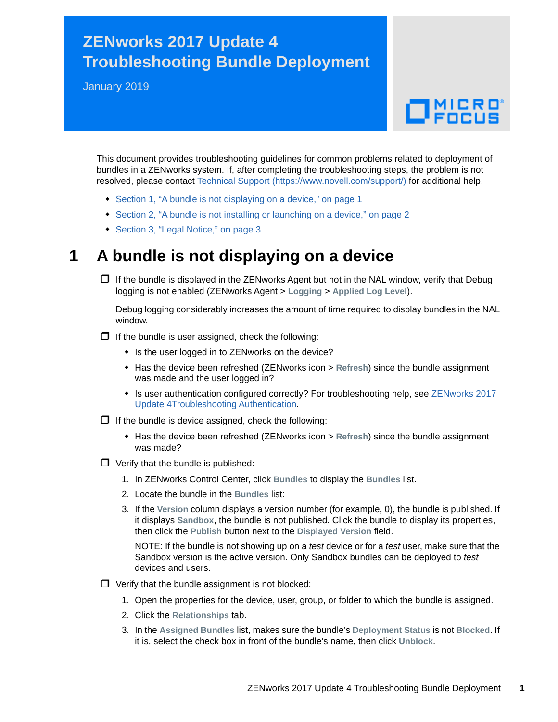## **ZENworks 2017 Update 4 Troubleshooting Bundle Deployment**

January 2019

# $\Box$ MICRO

This document provides troubleshooting guidelines for common problems related to deployment of bundles in a ZENworks system. If, after completing the troubleshooting steps, the problem is not resolved, please contact [Technical Support](https://www.novell.com/support/) (https://www.novell.com/support/) for additional help.

- [Section 1, "A bundle is not displaying on a device," on page 1](#page-0-0)
- [Section 2, "A bundle is not installing or launching on a device," on page 2](#page-1-0)
- [Section 3, "Legal Notice," on page 3](#page-2-0)

### <span id="page-0-0"></span>**1 A bundle is not displaying on a device**

 $\Box$  If the bundle is displayed in the ZENworks Agent but not in the NAL window, verify that Debug logging is not enabled (ZENworks Agent > **Logging** > **Applied Log Level**).

Debug logging considerably increases the amount of time required to display bundles in the NAL window.

- $\Box$  If the bundle is user assigned, check the following:
	- Is the user logged in to ZENworks on the device?
	- Has the device been refreshed (ZENworks icon > **Refresh**) since the bundle assignment was made and the user logged in?
	- Is user authentication configured correctly? For troubleshooting help, see ZENworks 2017 Update 4Troubleshooting Authentication.
- $\Box$  If the bundle is device assigned, check the following:
	- Has the device been refreshed (ZENworks icon > **Refresh**) since the bundle assignment was made?
- $\Box$  Verify that the bundle is published:
	- 1. In ZENworks Control Center, click **Bundles** to display the **Bundles** list.
	- 2. Locate the bundle in the **Bundles** list:
	- 3. If the **Version** column displays a version number (for example, 0), the bundle is published. If it displays **Sandbox**, the bundle is not published. Click the bundle to display its properties, then click the **Publish** button next to the **Displayed Version** field.

NOTE: If the bundle is not showing up on a *test* device or for a *test* user, make sure that the Sandbox version is the active version. Only Sandbox bundles can be deployed to *test* devices and users.

- $\Box$  Verify that the bundle assignment is not blocked:
	- 1. Open the properties for the device, user, group, or folder to which the bundle is assigned.
	- 2. Click the **Relationships** tab.
	- 3. In the **Assigned Bundles** list, makes sure the bundle's **Deployment Status** is not **Blocked**. If it is, select the check box in front of the bundle's name, then click **Unblock**.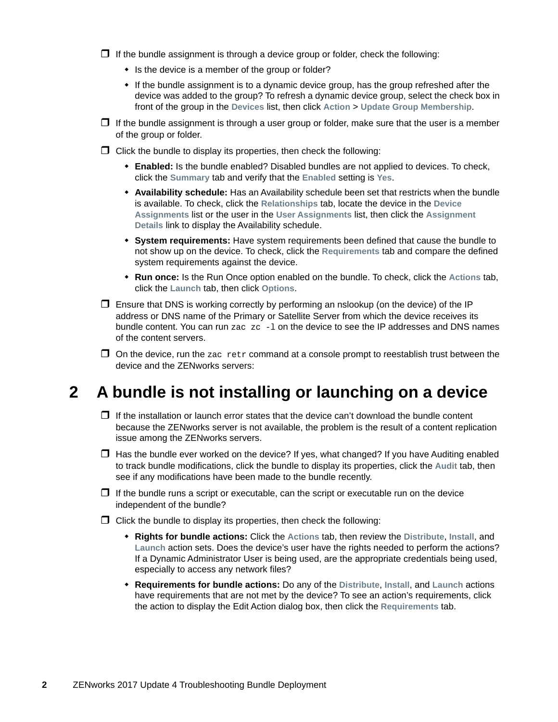$\Box$  If the bundle assignment is through a device group or folder, check the following:

- Is the device is a member of the group or folder?
- If the bundle assignment is to a dynamic device group, has the group refreshed after the device was added to the group? To refresh a dynamic device group, select the check box in front of the group in the **Devices** list, then click **Action** > **Update Group Membership**.
- $\Box$  If the bundle assignment is through a user group or folder, make sure that the user is a member of the group or folder.
- $\Box$  Click the bundle to display its properties, then check the following:
	- **Enabled:** Is the bundle enabled? Disabled bundles are not applied to devices. To check, click the **Summary** tab and verify that the **Enabled** setting is **Yes**.
	- **Availability schedule:** Has an Availability schedule been set that restricts when the bundle is available. To check, click the **Relationships** tab, locate the device in the **Device Assignments** list or the user in the **User Assignments** list, then click the **Assignment Details** link to display the Availability schedule.
	- **System requirements:** Have system requirements been defined that cause the bundle to not show up on the device. To check, click the **Requirements** tab and compare the defined system requirements against the device.
	- **Run once:** Is the Run Once option enabled on the bundle. To check, click the **Actions** tab, click the **Launch** tab, then click **Options**.
- $\Box$  Ensure that DNS is working correctly by performing an nslookup (on the device) of the IP address or DNS name of the Primary or Satellite Server from which the device receives its bundle content. You can run  $zac$   $zc$   $-1$  on the device to see the IP addresses and DNS names of the content servers.
- $\Box$  On the device, run the zac retr command at a console prompt to reestablish trust between the device and the ZENworks servers:

#### <span id="page-1-0"></span>**2 A bundle is not installing or launching on a device**

- $\Box$  If the installation or launch error states that the device can't download the bundle content because the ZENworks server is not available, the problem is the result of a content replication issue among the ZENworks servers.
- $\Box$  Has the bundle ever worked on the device? If yes, what changed? If you have Auditing enabled to track bundle modifications, click the bundle to display its properties, click the **Audit** tab, then see if any modifications have been made to the bundle recently.
- $\Box$  If the bundle runs a script or executable, can the script or executable run on the device independent of the bundle?
- $\Box$  Click the bundle to display its properties, then check the following:
	- **Rights for bundle actions:** Click the **Actions** tab, then review the **Distribute**, **Install**, and **Launch** action sets. Does the device's user have the rights needed to perform the actions? If a Dynamic Administrator User is being used, are the appropriate credentials being used, especially to access any network files?
	- **Requirements for bundle actions:** Do any of the **Distribute**, **Install**, and **Launch** actions have requirements that are not met by the device? To see an action's requirements, click the action to display the Edit Action dialog box, then click the **Requirements** tab.